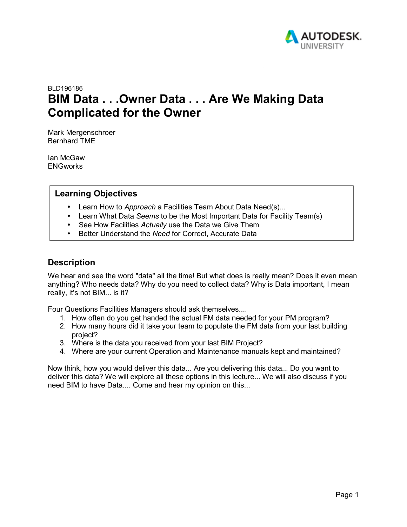

# BLD196186 **BIM Data . . .Owner Data . . . Are We Making Data Complicated for the Owner**

Mark Mergenschroer Bernhard TME

Ian McGaw **ENGworks** 

### **Learning Objectives**

- Learn How to *Approach* a Facilities Team About Data Need(s)...
- Learn What Data *Seems* to be the Most Important Data for Facility Team(s)
- See How Facilities *Actually* use the Data we Give Them
- Better Understand the *Need* for Correct, Accurate Data

### **Description**

We hear and see the word "data" all the time! But what does is really mean? Does it even mean anything? Who needs data? Why do you need to collect data? Why is Data important, I mean really, it's not BIM... is it?

Four Questions Facilities Managers should ask themselves....

- 1. How often do you get handed the actual FM data needed for your PM program?
- 2. How many hours did it take your team to populate the FM data from your last building project?
- 3. Where is the data you received from your last BIM Project?
- 4. Where are your current Operation and Maintenance manuals kept and maintained?

Now think, how you would deliver this data... Are you delivering this data... Do you want to deliver this data? We will explore all these options in this lecture... We will also discuss if you need BIM to have Data.... Come and hear my opinion on this...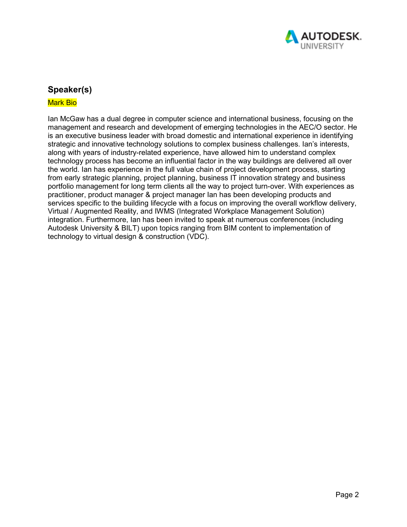

### **Speaker(s)**

#### Mark Bio

Ian McGaw has a dual degree in computer science and international business, focusing on the management and research and development of emerging technologies in the AEC/O sector. He is an executive business leader with broad domestic and international experience in identifying strategic and innovative technology solutions to complex business challenges. Ian's interests, along with years of industry-related experience, have allowed him to understand complex technology process has become an influential factor in the way buildings are delivered all over the world. Ian has experience in the full value chain of project development process, starting from early strategic planning, project planning, business IT innovation strategy and business portfolio management for long term clients all the way to project turn-over. With experiences as practitioner, product manager & project manager Ian has been developing products and services specific to the building lifecycle with a focus on improving the overall workflow delivery, Virtual / Augmented Reality, and IWMS (Integrated Workplace Management Solution) integration. Furthermore, Ian has been invited to speak at numerous conferences (including Autodesk University & BILT) upon topics ranging from BIM content to implementation of technology to virtual design & construction (VDC).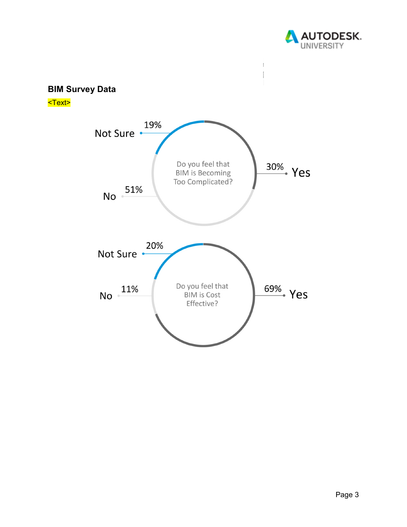